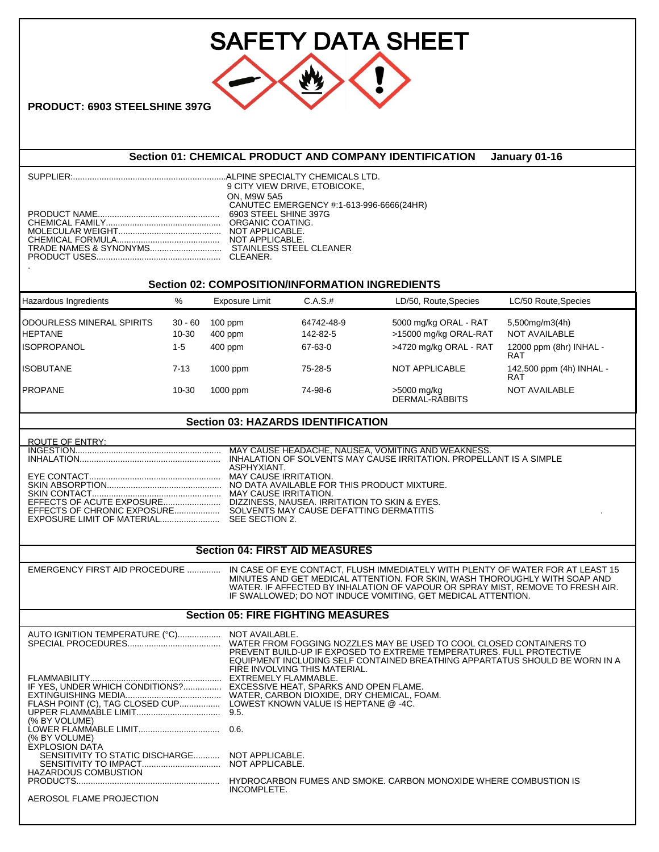| <b>SAFETY DATA SHEET</b>                                                                                                                                    |                               |                                                                                                                                                                                                                                                                |                                                                                                                                                                                                                                                                                                                |                                                                          |                                                                   |  |  |
|-------------------------------------------------------------------------------------------------------------------------------------------------------------|-------------------------------|----------------------------------------------------------------------------------------------------------------------------------------------------------------------------------------------------------------------------------------------------------------|----------------------------------------------------------------------------------------------------------------------------------------------------------------------------------------------------------------------------------------------------------------------------------------------------------------|--------------------------------------------------------------------------|-------------------------------------------------------------------|--|--|
| <b>PRODUCT: 6903 STEELSHINE 397G</b>                                                                                                                        |                               |                                                                                                                                                                                                                                                                |                                                                                                                                                                                                                                                                                                                |                                                                          |                                                                   |  |  |
| Section 01: CHEMICAL PRODUCT AND COMPANY IDENTIFICATION<br>January 01-16                                                                                    |                               |                                                                                                                                                                                                                                                                |                                                                                                                                                                                                                                                                                                                |                                                                          |                                                                   |  |  |
|                                                                                                                                                             |                               | ON, M9W 5A5                                                                                                                                                                                                                                                    | 9 CITY VIEW DRIVE, ETOBICOKE,<br>CANUTEC EMERGENCY #:1-613-996-6666(24HR)                                                                                                                                                                                                                                      |                                                                          |                                                                   |  |  |
| Hazardous Ingredients                                                                                                                                       | %                             | <b>Exposure Limit</b>                                                                                                                                                                                                                                          | <b>Section 02: COMPOSITION/INFORMATION INGREDIENTS</b><br>C.A.S.t                                                                                                                                                                                                                                              | LD/50, Route, Species                                                    | LC/50 Route, Species                                              |  |  |
| ODOURLESS MINERAL SPIRITS<br>HEPTANE<br><b>ISOPROPANOL</b>                                                                                                  | $30 - 60$<br>10-30<br>$1 - 5$ | $100$ ppm<br>400 ppm<br>400 ppm                                                                                                                                                                                                                                | 64742-48-9<br>142-82-5<br>67-63-0                                                                                                                                                                                                                                                                              | 5000 mg/kg ORAL - RAT<br>>15000 mg/kg ORAL-RAT<br>>4720 mg/kg ORAL - RAT | 5,500mg/m3(4h)<br><b>NOT AVAILABLE</b><br>12000 ppm (8hr) INHAL - |  |  |
| ISOBUTANE                                                                                                                                                   | $7 - 13$                      | 1000 ppm                                                                                                                                                                                                                                                       | 75-28-5                                                                                                                                                                                                                                                                                                        | NOT APPLICABLE                                                           | RAT<br>142,500 ppm (4h) INHAL -                                   |  |  |
| PROPANE                                                                                                                                                     | 10-30                         | 1000 ppm                                                                                                                                                                                                                                                       | 74-98-6                                                                                                                                                                                                                                                                                                        | >5000 mg/kg<br>DERMAL-RABBITS                                            | RAT<br><b>NOT AVAILABLE</b>                                       |  |  |
| <b>Section 03: HAZARDS IDENTIFICATION</b>                                                                                                                   |                               |                                                                                                                                                                                                                                                                |                                                                                                                                                                                                                                                                                                                |                                                                          |                                                                   |  |  |
| ROUTE OF ENTRY:                                                                                                                                             |                               |                                                                                                                                                                                                                                                                |                                                                                                                                                                                                                                                                                                                |                                                                          |                                                                   |  |  |
| ASPHYXIANT.                                                                                                                                                 |                               |                                                                                                                                                                                                                                                                |                                                                                                                                                                                                                                                                                                                |                                                                          |                                                                   |  |  |
| <b>Section 04: FIRST AID MEASURES</b>                                                                                                                       |                               |                                                                                                                                                                                                                                                                |                                                                                                                                                                                                                                                                                                                |                                                                          |                                                                   |  |  |
| EMERGENCY FIRST AID PROCEDURE                                                                                                                               |                               |                                                                                                                                                                                                                                                                | IN CASE OF EYE CONTACT. FLUSH IMMEDIATELY WITH PLENTY OF WATER FOR AT LEAST 15<br>MINUTES AND GET MEDICAL ATTENTION. FOR SKIN, WASH THOROUGHLY WITH SOAP AND<br>WATER. IF AFFECTED BY INHALATION OF VAPOUR OR SPRAY MIST. REMOVE TO FRESH AIR.<br>IF SWALLOWED; DO NOT INDUCE VOMITING, GET MEDICAL ATTENTION. |                                                                          |                                                                   |  |  |
| <b>Section 05: FIRE FIGHTING MEASURES</b>                                                                                                                   |                               |                                                                                                                                                                                                                                                                |                                                                                                                                                                                                                                                                                                                |                                                                          |                                                                   |  |  |
| AUTO IGNITION TEMPERATURE (°C) NOT AVAILABLE.<br>(% BY VOLUME)<br>(% BY VOLUME)<br><b>EXPLOSION DATA</b><br>SENSITIVITY TO STATIC DISCHARGE NOT APPLICABLE. |                               | PREVENT BUILD-UP IF EXPOSED TO EXTREME TEMPERATURES. FULL PROTECTIVE<br>EQUIPMENT INCLUDING SELF CONTAINED BREATHING APPARTATUS SHOULD BE WORN IN A<br>FIRE INVOLVING THIS MATERIAL.<br>IF YES, UNDER WHICH CONDITIONS? EXCESSIVE HEAT, SPARKS AND OPEN FLAME. |                                                                                                                                                                                                                                                                                                                |                                                                          |                                                                   |  |  |
| <b>HAZARDOUS COMBUSTION</b><br>AEROSOL FLAME PROJECTION                                                                                                     |                               |                                                                                                                                                                                                                                                                | INCOMPLETE.                                                                                                                                                                                                                                                                                                    |                                                                          |                                                                   |  |  |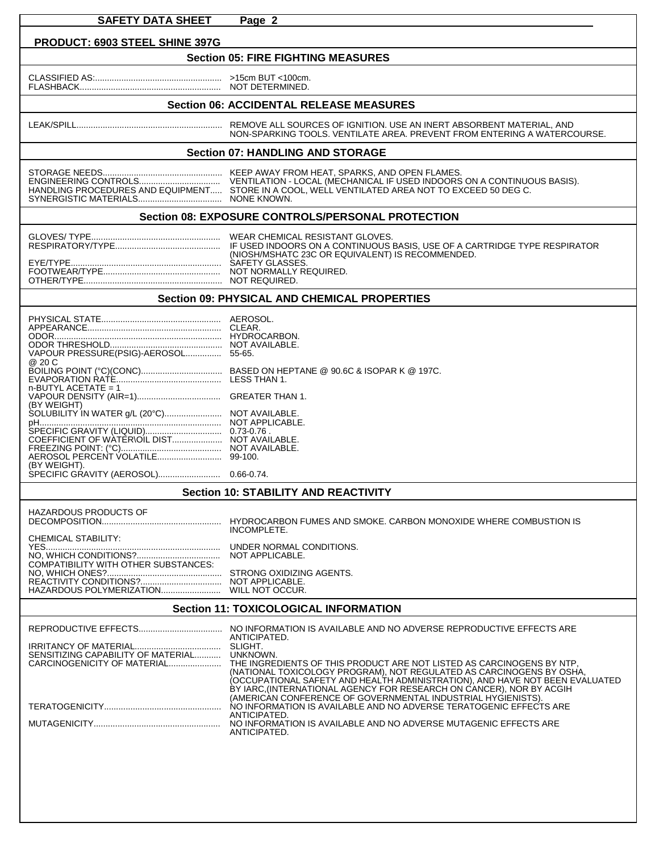| <b>SAFETY DATA SHEET</b>                                                                                                                                 | Page 2                                                                                                                                                                                                                                                                                                                      |  |  |  |  |  |
|----------------------------------------------------------------------------------------------------------------------------------------------------------|-----------------------------------------------------------------------------------------------------------------------------------------------------------------------------------------------------------------------------------------------------------------------------------------------------------------------------|--|--|--|--|--|
|                                                                                                                                                          |                                                                                                                                                                                                                                                                                                                             |  |  |  |  |  |
| PRODUCT: 6903 STEEL SHINE 397G<br><b>Section 05: FIRE FIGHTING MEASURES</b>                                                                              |                                                                                                                                                                                                                                                                                                                             |  |  |  |  |  |
|                                                                                                                                                          |                                                                                                                                                                                                                                                                                                                             |  |  |  |  |  |
|                                                                                                                                                          |                                                                                                                                                                                                                                                                                                                             |  |  |  |  |  |
| <b>Section 06: ACCIDENTAL RELEASE MEASURES</b>                                                                                                           |                                                                                                                                                                                                                                                                                                                             |  |  |  |  |  |
|                                                                                                                                                          |                                                                                                                                                                                                                                                                                                                             |  |  |  |  |  |
|                                                                                                                                                          | NON-SPARKING TOOLS. VENTILATE AREA, PREVENT FROM ENTERING A WATERCOURSE.                                                                                                                                                                                                                                                    |  |  |  |  |  |
| <b>Section 07: HANDLING AND STORAGE</b>                                                                                                                  |                                                                                                                                                                                                                                                                                                                             |  |  |  |  |  |
|                                                                                                                                                          | HANDLING PROCEDURES AND EQUIPMENT STORE IN A COOL, WELL VENTILATED AREA NOT TO EXCEED 50 DEG C.                                                                                                                                                                                                                             |  |  |  |  |  |
|                                                                                                                                                          | Section 08: EXPOSURE CONTROLS/PERSONAL PROTECTION                                                                                                                                                                                                                                                                           |  |  |  |  |  |
|                                                                                                                                                          |                                                                                                                                                                                                                                                                                                                             |  |  |  |  |  |
| <b>Section 09: PHYSICAL AND CHEMICAL PROPERTIES</b>                                                                                                      |                                                                                                                                                                                                                                                                                                                             |  |  |  |  |  |
| VAPOUR PRESSURE(PSIG)-AEROSOL 55-65.<br>@ 20 C<br>$n$ -BUTYL ACETATE = 1<br>(BY WEIGHT)<br>SOLUBILITY IN WATER g/L (20°C) NOT AVAILABLE.<br>(BY WEIGHT). |                                                                                                                                                                                                                                                                                                                             |  |  |  |  |  |
| <b>Section 10: STABILITY AND REACTIVITY</b>                                                                                                              |                                                                                                                                                                                                                                                                                                                             |  |  |  |  |  |
| <b>HAZARDOUS PRODUCTS OF</b><br>CHEMICAL STABILITY:<br>COMPATIBILITY WITH OTHER SUBSTANCES:                                                              | INCOMPLETE.<br>NOT APPLICABLE.                                                                                                                                                                                                                                                                                              |  |  |  |  |  |
| <b>Section 11: TOXICOLOGICAL INFORMATION</b>                                                                                                             |                                                                                                                                                                                                                                                                                                                             |  |  |  |  |  |
| SENSITIZING CAPABILITY OF MATERIAL UNKNOWN.                                                                                                              | ANTICIPATED.<br>(NATIONAL TOXICOLOGY PROGRAM), NOT REGULATED AS CARCINOGENS BY OSHA.<br>(OCCUPATIONAL SAFETY AND HEALTH ADMINISTRATION), AND HAVE NOT BEEN EVALUATED<br>BY IARC (INTERNATIONAL AGENCY FOR RESEARCH ON CANCER), NOR BY ACGIH<br>(AMERICAN CONFERENCE OF GOVERNMENTAL INDUSTRIAL HYGIENISTS).<br>ANTICIPATED. |  |  |  |  |  |
|                                                                                                                                                          | ANTICIPATED.                                                                                                                                                                                                                                                                                                                |  |  |  |  |  |